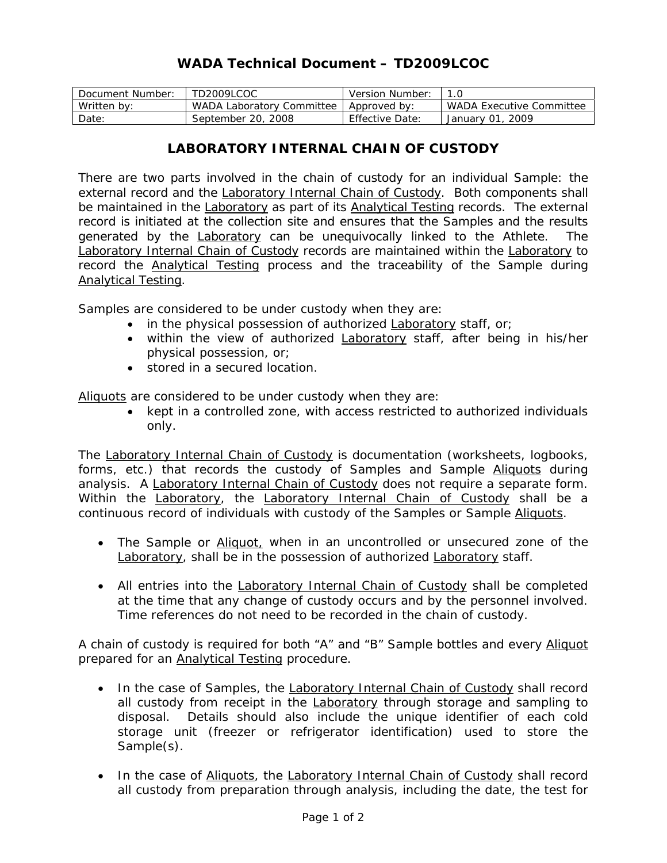## **WADA Technical Document – TD2009LCOC**

| Document Number: | TD2009LCOC                | Version Number:        |                          |
|------------------|---------------------------|------------------------|--------------------------|
| Written by:      | WADA Laboratory Committee | Approved by:           | WADA Executive Committee |
| Date:            | September 20, 2008        | <b>Effective Date:</b> | , 2009<br>January 01,    |

## **LABORATORY INTERNAL CHAIN OF CUSTODY**

There are two parts involved in the chain of custody for an individual *Sample*: the external record and the Laboratory Internal Chain of Custody. Both components shall be maintained in the Laboratory as part of its Analytical Testing records. The external record is initiated at the collection site and ensures that the *Samples* and the results generated by the Laboratory can be unequivocally linked to the *Athlete*. The Laboratory Internal Chain of Custody records are maintained within the Laboratory to record the Analytical Testing process and the traceability of the *Sample* during Analytical Testing.

*Samples* are considered to be under custody when they are:

- in the physical possession of authorized Laboratory staff, or;
- within the view of authorized Laboratory staff, after being in his/her physical possession, or;
- stored in a secured location.

Aliquots are considered to be under custody when they are:

• kept in a controlled zone, with access restricted to authorized individuals only.

The Laboratory Internal Chain of Custody is documentation (worksheets, logbooks, forms, etc.) that records the custody of *Samples* and *Sample* Aliquots during analysis. A Laboratory Internal Chain of Custody does not require a separate form. Within the Laboratory, the Laboratory Internal Chain of Custody shall be a continuous record of individuals with custody of the *Samples* or *Sample* Aliquots.

- The *Sample* or Aliquot, when in an uncontrolled or unsecured zone of the Laboratory, shall be in the possession of authorized Laboratory staff.
- All entries into the Laboratory Internal Chain of Custody shall be completed at the time that any change of custody occurs and by the personnel involved. Time references do not need to be recorded in the chain of custody.

A chain of custody is required for both "A" and "B" *Sample* bottles and every Aliquot prepared for an Analytical Testing procedure.

- In the case of *Sample*s, the Laboratory Internal Chain of Custody shall record all custody from receipt in the Laboratory through storage and sampling to disposal. Details should also include the unique identifier of each cold storage unit (freezer or refrigerator identification) used to store the *Sample(s)*.
- In the case of Aliquots, the Laboratory Internal Chain of Custody shall record all custody from preparation through analysis, including the date, the test for